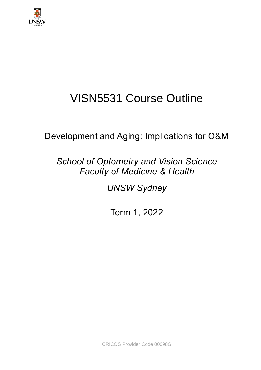

# VISN5531 Course Outline

Development and Aging: Implications for O&M

*School of Optometry and Vision Science Faculty of Medicine & Health*

*UNSW Sydney*

Term 1, 2022

CRICOS Provider Code 00098G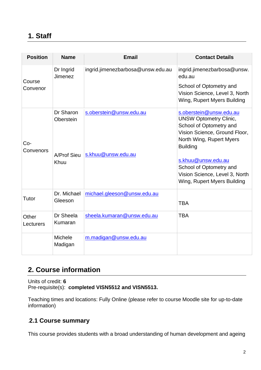## **1. Staff**

| <b>Position</b>    | <b>Name</b>               | <b>Email</b>                      | <b>Contact Details</b>                                                                                                                                              |
|--------------------|---------------------------|-----------------------------------|---------------------------------------------------------------------------------------------------------------------------------------------------------------------|
| Course             | Dr Ingrid<br>Jimenez      | ingrid.jimenezbarbosa@unsw.edu.au | ingrid.jimenezbarbosa@unsw.<br>edu.au                                                                                                                               |
| Convenor           |                           |                                   | School of Optometry and<br>Vision Science, Level 3, North<br>Wing, Rupert Myers Building                                                                            |
| Co-<br>Convenors   | Dr Sharon<br>Oberstein    | s.oberstein@unsw.edu.au           | s.oberstein@unsw.edu.au<br><b>UNSW Optometry Clinic,</b><br>School of Optometry and<br>Vision Science, Ground Floor,<br>North Wing, Rupert Myers<br><b>Building</b> |
|                    | A/Prof Sieu<br>Khuu       | s.khuu@unsw.edu.au                | s.khuu@unsw.edu.au<br>School of Optometry and<br>Vision Science, Level 3, North<br>Wing, Rupert Myers Building                                                      |
| Tutor              | Dr. Michael<br>Gleeson    | michael.gleeson@unsw.edu.au       | <b>TBA</b>                                                                                                                                                          |
| Other<br>Lecturers | Dr Sheela<br>Kumaran      | sheela.kumaran@unsw.edu.au        | <b>TBA</b>                                                                                                                                                          |
|                    | <b>Michele</b><br>Madigan | m.madigan@unsw.edu.au             |                                                                                                                                                                     |

# **2. Course information**

Units of credit: **6** Pre-requisite(s): **completed VISN5512 and VISN5513.**

Teaching times and locations: Fully Online (please refer to course Moodle site for up-to-date information)

#### .**2.1 Course summary**

This course provides students with a broad understanding of human development and ageing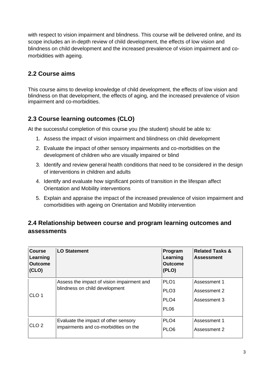with respect to vision impairment and blindness. This course will be delivered online, and its scope includes an in-depth review of child development, the effects of low vision and blindness on child development and the increased prevalence of vision impairment and comorbidities with ageing.

#### **2.2 Course aims**

This course aims to develop knowledge of child development, the effects of low vision and blindness on that development, the effects of aging, and the increased prevalence of vision impairment and co-morbidities.

#### **2.3 Course learning outcomes (CLO)**

At the successful completion of this course you (the student) should be able to:

- 1. Assess the impact of vision impairment and blindness on child development
- 2. Evaluate the impact of other sensory impairments and co-morbidities on the development of children who are visually impaired or blind
- 3. Identify and review general health conditions that need to be considered in the design of interventions in children and adults
- 4. Identify and evaluate how significant points of transition in the lifespan affect Orientation and Mobility interventions
- 5. Explain and appraise the impact of the increased prevalence of vision impairment and comorbidities with ageing on Orientation and Mobility intervention

#### **2.4 Relationship between course and program learning outcomes and assessments**

| <b>Course</b><br>Learning<br><b>Outcome</b><br>(CLO) | <b>LO Statement</b>                        | Program<br>Learning<br><b>Outcome</b><br>(PLO) | <b>Related Tasks &amp;</b><br><b>Assessment</b> |
|------------------------------------------------------|--------------------------------------------|------------------------------------------------|-------------------------------------------------|
|                                                      | Assess the impact of vision impairment and | PLO <sub>1</sub>                               | Assessment 1                                    |
| CLO <sub>1</sub>                                     | blindness on child development             | PLO <sub>3</sub>                               | Assessment 2                                    |
|                                                      |                                            | PLO <sub>4</sub>                               | Assessment 3                                    |
|                                                      |                                            | <b>PL06</b>                                    |                                                 |
| CLO <sub>2</sub>                                     | Evaluate the impact of other sensory       | PLO <sub>4</sub>                               | Assessment 1                                    |
|                                                      | impairments and co-morbidities on the      | PLO <sub>6</sub>                               | Assessment 2                                    |
|                                                      |                                            |                                                |                                                 |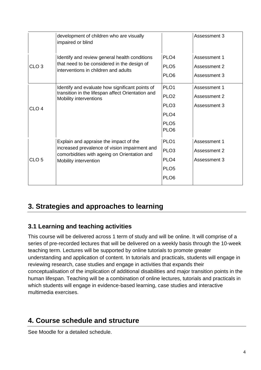|                  | development of children who are visually<br>impaired or blind                                                                        |                                                          | Assessment 3                                 |
|------------------|--------------------------------------------------------------------------------------------------------------------------------------|----------------------------------------------------------|----------------------------------------------|
| CLO <sub>3</sub> | Identify and review general health conditions<br>that need to be considered in the design of<br>interventions in children and adults | PLO <sub>4</sub><br>PLO <sub>5</sub><br>PLO <sub>6</sub> | Assessment 1<br>Assessment 2<br>Assessment 3 |
|                  | Identify and evaluate how significant points of<br>transition in the lifespan affect Orientation and                                 | PLO <sub>1</sub>                                         | Assessment 1                                 |
|                  | Mobility interventions                                                                                                               | PLO <sub>2</sub>                                         | Assessment 2                                 |
| CLO <sub>4</sub> |                                                                                                                                      | PLO <sub>3</sub>                                         | Assessment 3                                 |
|                  |                                                                                                                                      | PLO <sub>4</sub>                                         |                                              |
|                  |                                                                                                                                      | PLO <sub>5</sub><br>PLO <sub>6</sub>                     |                                              |
|                  | Explain and appraise the impact of the                                                                                               | PLO <sub>1</sub>                                         | Assessment 1                                 |
| CLO <sub>5</sub> | increased prevalence of vision impairment and<br>comorbidities with ageing on Orientation and<br>Mobility intervention               | PLO <sub>3</sub>                                         | Assessment 2                                 |
|                  |                                                                                                                                      | PLO <sub>4</sub>                                         | Assessment 3                                 |
|                  |                                                                                                                                      | PLO <sub>5</sub>                                         |                                              |
|                  |                                                                                                                                      | PLO <sub>6</sub>                                         |                                              |

# **3. Strategies and approaches to learning**

#### **3.1 Learning and teaching activities**

This course will be delivered across 1 term of study and will be online. It will comprise of a series of pre-recorded lectures that will be delivered on a weekly basis through the 10-week teaching term. Lectures will be supported by online tutorials to promote greater understanding and application of content. In tutorials and practicals, students will engage in reviewing research, case studies and engage in activities that expands their conceptualisation of the implication of additional disabilities and major transition points in the human lifespan. Teaching will be a combination of online lectures, tutorials and practicals in which students will engage in evidence-based learning, case studies and interactive multimedia exercises.

# **4. Course schedule and structure**

See Moodle for a detailed schedule.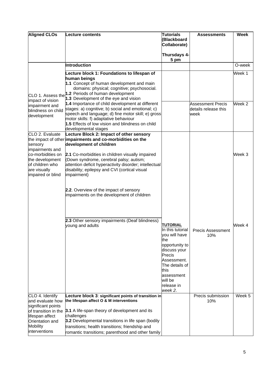| <b>Aligned CLOs</b>                                                                                                                           | Lecture contents                                                                                                                                                                                                                                                                                                                                          | <b>Tutorials</b><br>(Blackboard<br>Collaborate)                                                                                                                                         | <b>Assessments</b>                                | <b>Week</b>       |
|-----------------------------------------------------------------------------------------------------------------------------------------------|-----------------------------------------------------------------------------------------------------------------------------------------------------------------------------------------------------------------------------------------------------------------------------------------------------------------------------------------------------------|-----------------------------------------------------------------------------------------------------------------------------------------------------------------------------------------|---------------------------------------------------|-------------------|
|                                                                                                                                               |                                                                                                                                                                                                                                                                                                                                                           | Thursdays 4-<br>5 pm                                                                                                                                                                    |                                                   |                   |
|                                                                                                                                               | Introduction                                                                                                                                                                                                                                                                                                                                              |                                                                                                                                                                                         |                                                   | O-week            |
|                                                                                                                                               | Lecture block 1: Foundations to lifespan of<br>human beings<br>1.1 Concept of human development and main<br>domains: physical; cognitive; psychosocial.<br>CLO 1. Assess the 1.2 Periods of human development<br>1.3 Development of the eye and vision                                                                                                    |                                                                                                                                                                                         |                                                   | Week 1            |
| impact of vision<br>impairment and<br>blindness on child<br>development                                                                       | 1.4 Importance of child development at different<br>stages: a) cognitive; b) social and emotional; c)<br>speech and language; d) fine motor skill; e) gross<br>motor skills: f) adaptative behaviour<br>1.5 Effects of low vision and blindness on child<br>developmental stages                                                                          |                                                                                                                                                                                         | Assessment Precis<br>details release this<br>week | Week <sub>2</sub> |
| CLO 2. Evaluate<br>sensory<br>impairments and<br>co-morbidities on<br>the development<br>of children who<br>are visually<br>impaired or blind | Lecture Block 2: Impact of other sensory<br>the impact of other impairments and co-morbidities on the<br>development of children<br>2.1 Co-morbidities in children visually impaired<br>(Down syndrome, cerebral palsy; autism;<br>attention deficit hyperactivity disorder; intellectual<br>disability; epilepsy and CVI (cortical visual<br>impairment) |                                                                                                                                                                                         |                                                   | Week 3            |
|                                                                                                                                               | 2.2. Overview of the impact of sensory<br>impairments on the development of children<br>2.3 Other sensory impairments (Deaf blindness)<br>young and adults                                                                                                                                                                                                | <b>TUTORIAL</b><br>In this tutorial<br>you will have<br>the<br>opportunity to<br>discuss your<br>Precis<br>Assessment.<br>The details of<br>this<br>assessment<br>will be<br>release in | <b>Precis Assessment</b><br>10%                   | Week 4            |
| CLO 4. Identify<br>and evaluate how<br>significant points<br>of transition in the<br>lifespan affect<br>Orientation and                       | Lecture block 3: significant points of transition in<br>the lifespan affect O & M interventions<br>3.1 A life-span theory of development and its<br>challenges<br>3.2 Developmental transitions in life span (bodily                                                                                                                                      | week 2.                                                                                                                                                                                 | Precis submission<br>10%                          | Week 5            |
| <b>Mobility</b><br>interventions                                                                                                              | transitions; health transitions; friendship and<br>romantic transitions; parenthood and other family                                                                                                                                                                                                                                                      |                                                                                                                                                                                         |                                                   |                   |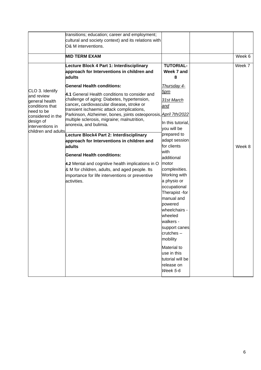| transitions; education; career and employment;<br>cultural and society context) and its relations with<br>O& M interventions.                                                                                                                                                                                                                                                                                                                                                                                                                                                                                                                                                                                                                                                                                                                               |                                                                                                                                                                                                                                                                                                                                                                                                                                               |        |
|-------------------------------------------------------------------------------------------------------------------------------------------------------------------------------------------------------------------------------------------------------------------------------------------------------------------------------------------------------------------------------------------------------------------------------------------------------------------------------------------------------------------------------------------------------------------------------------------------------------------------------------------------------------------------------------------------------------------------------------------------------------------------------------------------------------------------------------------------------------|-----------------------------------------------------------------------------------------------------------------------------------------------------------------------------------------------------------------------------------------------------------------------------------------------------------------------------------------------------------------------------------------------------------------------------------------------|--------|
| <b>MID TERM EXAM</b>                                                                                                                                                                                                                                                                                                                                                                                                                                                                                                                                                                                                                                                                                                                                                                                                                                        |                                                                                                                                                                                                                                                                                                                                                                                                                                               | Week 6 |
| Lecture Block 4 Part 1: Interdisciplinary<br>approach for Interventions in children and<br>adults                                                                                                                                                                                                                                                                                                                                                                                                                                                                                                                                                                                                                                                                                                                                                           | <b>TUTORIAL-</b><br>Week 7 and<br>8                                                                                                                                                                                                                                                                                                                                                                                                           | Week 7 |
| <b>General Health conditions:</b><br>CLO 3. Identify<br>4.1 General Health conditions to consider and<br>and review<br>challenge of aging: Diabetes, hypertension,<br>general health<br>cancer, cardiovascular disease, stroke or<br>conditions that<br>transient ischaemic attack complications,<br>need to be<br>Parkinson, Alzheimer, bones, joints osteoporosis, April 7th/2022<br>considered in the<br>multiple sclerosis, migraine; malnutrition,<br>design of<br>anorexia, and bulimia.<br>interventions in<br>children and adults<br>Lecture Block4 Part 2: Interdisciplinary<br>approach for Interventions in children and<br>adults<br><b>General Health conditions:</b><br>4.2 Mental and cognitive health implications in O<br>& M for children, adults, and aged people. Its<br>importance for life interventions or preventive<br>activities. | Thursday 4-<br><u>5pm</u><br>31st March<br>and<br>In this tutorial,<br>you will be<br>prepared to<br>adapt session<br>for clients<br>with<br>additional<br>motor<br>complexities.<br>Working with<br>a physio or<br>occupational<br>Therapist -for<br>manual and<br>powered<br>wheelchairs -<br>wheeled<br>walkers -<br>support canes<br>$crutches -$<br>mobility<br>Material to<br>use in this<br>tutorial will be<br>release on<br>Week 5-6 | Week 8 |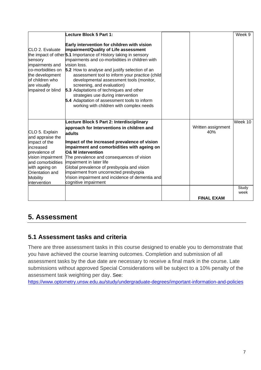|                                                                                                                                               | Lecture Block 5 Part 1:                                                                                                                                                                                                                                                                                                                                                                                                                                                                                                                                                                          |                           | Week 9  |
|-----------------------------------------------------------------------------------------------------------------------------------------------|--------------------------------------------------------------------------------------------------------------------------------------------------------------------------------------------------------------------------------------------------------------------------------------------------------------------------------------------------------------------------------------------------------------------------------------------------------------------------------------------------------------------------------------------------------------------------------------------------|---------------------------|---------|
| CLO 2. Evaluate<br>sensory<br>impairments and<br>co-morbidities on<br>the development<br>of children who<br>are visually<br>impaired or blind | Early intervention for children with vision<br>impairment/Quality of Life assessment<br>the impact of other <sup>5.1</sup> Importance of History taking in sensory<br>impairments and co-morbidities in children with<br>vision loss.<br>5.2 How to analyse and justify selection of an<br>assessment tool to inform your practice (child<br>developmental assessment tools (monitor,<br>screening, and evaluation)<br>5.3 Adaptations of techniques and other<br>strategies use during intervention<br>5.4 Adaptation of assessment tools to inform<br>working with children with complex needs |                           |         |
| CLO 5. Explain                                                                                                                                | Lecture Block 5 Part 2: Interdisciplinary<br>approach for Interventions in children and                                                                                                                                                                                                                                                                                                                                                                                                                                                                                                          | Written assignment<br>40% | Week 10 |
| and appraise the                                                                                                                              | adults                                                                                                                                                                                                                                                                                                                                                                                                                                                                                                                                                                                           |                           |         |
| impact of the<br>increased                                                                                                                    | Impact of the increased prevalence of vision<br>impairment and comorbidities with ageing on                                                                                                                                                                                                                                                                                                                                                                                                                                                                                                      |                           |         |
| prevalence of<br>vision impairment                                                                                                            | <b>O&amp; M</b> intervention<br>The prevalence and consequences of vision                                                                                                                                                                                                                                                                                                                                                                                                                                                                                                                        |                           |         |
| land comorbidities                                                                                                                            | impairment in later life                                                                                                                                                                                                                                                                                                                                                                                                                                                                                                                                                                         |                           |         |
| with ageing on<br>Orientation and                                                                                                             | Global prevalence of presbyopia and vision<br>impairment from uncorrected presbyopia                                                                                                                                                                                                                                                                                                                                                                                                                                                                                                             |                           |         |
| Mobility                                                                                                                                      | Vision impairment and incidence of dementia and                                                                                                                                                                                                                                                                                                                                                                                                                                                                                                                                                  |                           |         |
| intervention                                                                                                                                  | cognitive impairment                                                                                                                                                                                                                                                                                                                                                                                                                                                                                                                                                                             |                           | Study   |
|                                                                                                                                               |                                                                                                                                                                                                                                                                                                                                                                                                                                                                                                                                                                                                  |                           | week    |
|                                                                                                                                               |                                                                                                                                                                                                                                                                                                                                                                                                                                                                                                                                                                                                  | <b>FINAL EXAM</b>         |         |

# **5. Assessment**

## **5.1 Assessment tasks and criteria**

There are three assessment tasks in this course designed to enable you to demonstrate that you have achieved the course learning outcomes. Completion and submission of all assessment tasks by the due date are necessary to receive a final mark in the course. Late submissions without approved Special Considerations will be subject to a 10% penalty of the assessment task weighting per day. See:

<https://www.optometry.unsw.edu.au/study/undergraduate-degrees/important-information-and-policies>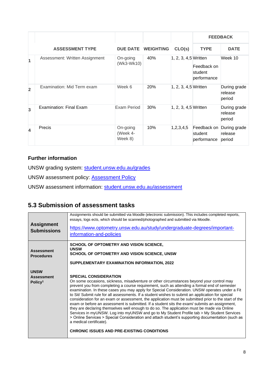|                         |                                |                                 |                           |                      |                                       | <b>FEEDBACK</b>                   |
|-------------------------|--------------------------------|---------------------------------|---------------------------|----------------------|---------------------------------------|-----------------------------------|
|                         | <b>ASSESSMENT TYPE</b>         |                                 | <b>DUE DATE WEIGHTING</b> | CLO(s)               | <b>TYPE</b>                           | <b>DATE</b>                       |
| $\overline{\mathbf{1}}$ | Assessment: Written Assignment | On-going<br>(Wk3-Wk10)          | 40%                       | 1, 2, 3, 4,5 Written | Feedback on<br>student<br>performance | Week 10                           |
| $\overline{2}$          | Examination: Mid Term exam     | Week 6                          | 20%                       | 1, 2, 3, 4,5 Written |                                       | During grade<br>release<br>period |
| $\overline{3}$          | Examination: Final Exam        | <b>Exam Period</b>              | 30%                       | 1, 2, 3, 4,5 Written |                                       | During grade<br>release<br>period |
| $\overline{\mathbf{A}}$ | Precis                         | On-going<br>(Week 4-<br>Week 8) | 10%                       | 1,2,3,4,5            | Feedback on<br>student<br>performance | During grade<br>release<br>period |

#### **Further information**

UNSW grading system: [student.unsw.edu.au/grades](https://student.unsw.edu.au/grades)

UNSW assessment policy: [Assessment Policy](https://www.gs.unsw.edu.au/policy/documents/assessmentpolicy.pdf)

UNSW assessment information: [student.unsw.edu.au/assessment](https://student.unsw.edu.au/assessment)

#### **5.3 Submission of assessment tasks**

| <b>Assignment</b><br><b>Submissions</b>                 | Assignments should be submitted via Moodle (electronic submission). This includes completed reports,<br>essays, logs ects, which should be scanned/photographed and submitted via Moodle.<br>https://www.optometry.unsw.edu.au/study/undergraduate-degrees/important-<br>information-and-policies                                                                                                                                                                                                                                                                                                                                                                                                                                                                                                                                                                                                                                                                                                                         |
|---------------------------------------------------------|---------------------------------------------------------------------------------------------------------------------------------------------------------------------------------------------------------------------------------------------------------------------------------------------------------------------------------------------------------------------------------------------------------------------------------------------------------------------------------------------------------------------------------------------------------------------------------------------------------------------------------------------------------------------------------------------------------------------------------------------------------------------------------------------------------------------------------------------------------------------------------------------------------------------------------------------------------------------------------------------------------------------------|
| <b>Assessment</b><br><b>Procedures</b>                  | SCHOOL OF OPTOMETRY AND VISION SCIENCE,<br><b>UNSW</b><br>SCHOOL OF OPTOMETRY AND VISION SCIENCE, UNSW<br>SUPPLEMENTARY EXAMINATION INFORMATION, 2022                                                                                                                                                                                                                                                                                                                                                                                                                                                                                                                                                                                                                                                                                                                                                                                                                                                                     |
| <b>UNSW</b><br><b>Assessment</b><br>Policy <sup>1</sup> | <b>SPECIAL CONSIDERATION</b><br>On some occasions, sickness, misadventure or other circumstances beyond your control may<br>prevent you from completing a course requirement, such as attending a formal end of semester<br>examination. In these cases you may apply for Special Consideration. UNSW operates under a Fit<br>to Sit/ Submit rule for all assessments. If a student wishes to submit an application for special<br>consideration for an exam or assessment, the application must be submitted prior to the start of the<br>exam or before an assessment is submitted. If a student sits the exam/ submits an assignment,<br>they are declaring themselves well enough to do so. The application must be made via Online<br>Services in myUNSW. Log into myUNSW and go to My Student Profile tab > My Student Services<br>> Online Services > Special Consideration and attach student's supporting documentation (such as<br>a medical certificate).<br><b>CHRONIC ISSUES AND PRE-EXISTING CONDITIONS</b> |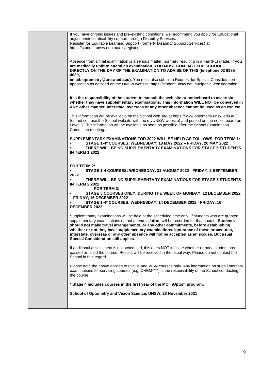| If you have chronic issues and pre-existing conditions, we recommend you apply for Educational<br>adjustments for disability support through Disability Services.<br>Register for Equitable Learning Support (formerly Disability Support Services) at<br>https://student.unsw.edu.au/els/register                                                                                                                                                                                                                      |
|-------------------------------------------------------------------------------------------------------------------------------------------------------------------------------------------------------------------------------------------------------------------------------------------------------------------------------------------------------------------------------------------------------------------------------------------------------------------------------------------------------------------------|
| Absence from a final examination is a serious matter, normally resulting in a Fail (FL) grade. If you<br>are medically unfit to attend an examination, YOU MUST CONTACT THE SCHOOL<br>DIRECTLY ON THE DAY OF THE EXAMINATION TO ADVISE OF THIS (telephone 02 9385<br>4639,                                                                                                                                                                                                                                              |
| email: optometry@unsw.edu.au). You must also submit a Request for Special Consideration<br>application as detailed on the UNSW website: https://student.unsw.edu.au/special-consideration                                                                                                                                                                                                                                                                                                                               |
| It is the responsibility of the student to consult the web site or noticeboard to ascertain<br>whether they have supplementary examinations. This information WILL NOT be conveyed in<br>ANY other manner. Interstate, overseas or any other absence cannot be used as an excuse.                                                                                                                                                                                                                                       |
| This information will be available on the School web site at https://www.optometry.unsw.edu.au/<br>(do not confuse the School website with the myUNSW website) and posted on the notice board on<br>Level 3. This information will be available as soon as possible after the School Examination<br>Committee meeting.                                                                                                                                                                                                  |
| SUPPLEMENTARY EXAMINATIONS FOR 2022 WILL BE HELD AS FOLLOWS: FOR TERM 1:<br>STAGE 1-4* COURSES: WEDNESDAY, 18 MAY 2022 - FRIDAY, 20 MAY 2022<br>THERE WILL BE NO SUPPLEMENTARY EXAMINATIONS FOR STAGE 5 STUDENTS<br><b>IN TERM 1 2022</b>                                                                                                                                                                                                                                                                               |
| FOR TERM 2:                                                                                                                                                                                                                                                                                                                                                                                                                                                                                                             |
| STAGE 1-4 COURSES: WEDNESDAY, 31 AUGUST 2022 - FRIDAY, 2 SEPTEMBER<br>2022                                                                                                                                                                                                                                                                                                                                                                                                                                              |
| THERE WILL BE NO SUPPLEMENTARY EXAMINATIONS FOR STAGE 5 STUDENTS<br><b>IN TERM 2 2022</b>                                                                                                                                                                                                                                                                                                                                                                                                                               |
| <b>FOR TERM 3:</b><br>STAGE 5 COURSES ONLY: DURING THE WEEK OF MONDAY, 12 DECEMBER 2022<br>- FRIDAY, 16 DECEMBER 2022                                                                                                                                                                                                                                                                                                                                                                                                   |
| STAGE 1-4* COURSES: WEDNESDAY, 14 DECEMBER 2022 - FRIDAY, 16<br><b>DECEMBER 2022</b>                                                                                                                                                                                                                                                                                                                                                                                                                                    |
| Supplementary examinations will be held at the scheduled time only. If students who are granted<br>supplementary examinations do not attend, a failure will be recorded for that course. Students<br>should not make travel arrangements, or any other commitments, before establishing<br>whether or not they have supplementary examinations. Ignorance of these procedures,<br>interstate, overseas or any other absence will not be accepted as an excuse. But usual<br><b>Special Consideration still applies.</b> |
| If additional assessment is not scheduled, this does NOT indicate whether or not a student has<br>passed or failed the course. Results will be received in the usual way. Please do not contact the<br>School in this regard.                                                                                                                                                                                                                                                                                           |
| Please note the above applies to OPTM and VISN courses only. Any information on supplementary<br>examinations for servicing courses (e.g. CHEM****) is the responsibility of the School conducting<br>the course.                                                                                                                                                                                                                                                                                                       |
| * Stage 4 includes courses in the first year of the MClinOptom program.                                                                                                                                                                                                                                                                                                                                                                                                                                                 |
| School of Optometry and Vision Science, UNSW, 23 November 2021                                                                                                                                                                                                                                                                                                                                                                                                                                                          |
|                                                                                                                                                                                                                                                                                                                                                                                                                                                                                                                         |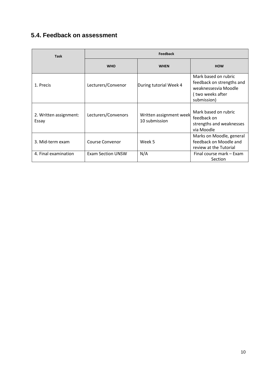## **5.4. Feedback on assessment**

| <b>Task</b>                     | <b>Feedback</b>          |                                          |                                                                                                              |  |
|---------------------------------|--------------------------|------------------------------------------|--------------------------------------------------------------------------------------------------------------|--|
|                                 | <b>WHO</b>               | <b>WHEN</b>                              | <b>HOW</b>                                                                                                   |  |
| 1. Precis                       | Lecturers/Convenor       | During tutorial Week 4                   | Mark based on rubric<br>feedback on strengths and<br>weaknessesvia Moodle<br>(two weeks after<br>submission) |  |
| 2. Written assignment:<br>Essay | Lecturers/Convenors      | Written assignment week<br>10 submission | Mark based on rubric<br>feedback on<br>strengths and weaknesses<br>via Moodle                                |  |
| 3. Mid-term exam                | <b>Course Convenor</b>   | Week 5                                   | Marks on Moodle, general<br>feedback on Moodle and<br>review at the Tutorial                                 |  |
| 4. Final examination            | <b>Exam Section UNSW</b> | N/A                                      | Final course mark - Exam<br>Section                                                                          |  |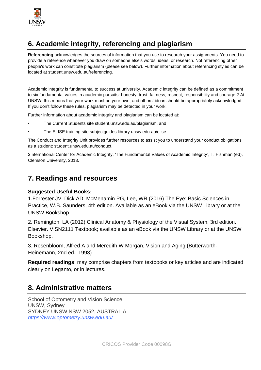

# **6. Academic integrity, referencing and plagiarism**

**Referencing** acknowledges the sources of information that you use to research your assignments. You need to provide a reference whenever you draw on someone else's words, ideas, or research. Not referencing other people's work can constitute plagiarism (please see below). Further information about referencing styles can be located at student.unsw.edu.au/referencing.

Academic integrity is fundamental to success at university. Academic integrity can be defined as a commitment to six fundamental values in academic pursuits: honesty, trust, fairness, respect, responsibility and courage.2 At UNSW, this means that your work must be your own, and others' ideas should be appropriately acknowledged. If you don't follow these rules, plagiarism may be detected in your work.

Further information about academic integrity and plagiarism can be located at:

- The Current Students site student.unsw.edu.au/plagiarism, and
- The ELISE training site subjectguides.library.unsw.edu.au/elise

The Conduct and Integrity Unit provides further resources to assist you to understand your conduct obligations as a student: student.unsw.edu.au/conduct.

2International Center for Academic Integrity, 'The Fundamental Values of Academic Integrity', T. Fishman (ed), Clemson University, 2013.

#### **7. Readings and resources**

#### **Suggested Useful Books:**

1.Forrester JV, Dick AD, McMenamin PG, Lee, WR (2016) The Eye: Basic Sciences in Practice, W.B. Saunders, 4th edition. Available as an eBook via the UNSW Library or at the UNSW Bookshop.

2. Remington, LA (2012) Clinical Anatomy & Physiology of the Visual System, 3rd edition. Elsevier. VISN2111 Textbook; available as an eBook via the UNSW Library or at the UNSW Bookshop.

3. Rosenbloom, Alfred A and Meredith W Morgan, Vision and Aging (Butterworth-Heinemann, 2nd ed., 1993)

**Required readings**: may comprise chapters from textbooks or key articles and are indicated clearly on Leganto, or in lectures.

#### **8. Administrative matters**

School of Optometry and Vision Science UNSW, Sydney SYDNEY UNSW NSW 2052, AUSTRALIA *https://www.optometry.unsw.edu.au/*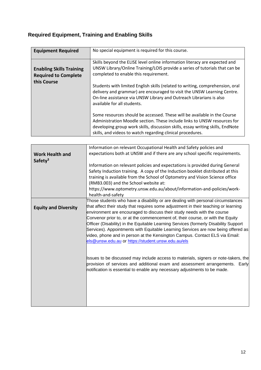# **Required Equipment, Training and Enabling Skills**

| <b>Equipment Required</b>                                                     | No special equipment is required for this course.                                                                                                                                                                                                                                                    |
|-------------------------------------------------------------------------------|------------------------------------------------------------------------------------------------------------------------------------------------------------------------------------------------------------------------------------------------------------------------------------------------------|
| <b>Enabling Skills Training</b><br><b>Required to Complete</b><br>this Course | Skills beyond the ELISE level online information literacy are expected and<br>UNSW Library/Online Training/LOIS provide a series of tutorials that can be<br>completed to enable this requirement.                                                                                                   |
|                                                                               | Students with limited English skills (related to writing, comprehension, oral<br>delivery and grammar) are encouraged to visit the UNSW Learning Centre.<br>On-line assistance via UNSW Library and Outreach Librarians is also<br>available for all students.                                       |
|                                                                               | Some resources should be accessed. These will be available in the Course<br>Administration Moodle section. These include links to UNSW resources for<br>developing group work skills, discussion skills, essay writing skills, EndNote<br>skills, and videos to watch regarding clinical procedures. |

|                                               | Information on relevant Occupational Health and Safety policies and                                                                                                                                                                                                                                                                                                                                                                                                                                                                                                                                                                                   |
|-----------------------------------------------|-------------------------------------------------------------------------------------------------------------------------------------------------------------------------------------------------------------------------------------------------------------------------------------------------------------------------------------------------------------------------------------------------------------------------------------------------------------------------------------------------------------------------------------------------------------------------------------------------------------------------------------------------------|
| <b>Work Health and</b><br>Safety <sup>3</sup> | expectations both at UNSW and if there are any school specific requirements.                                                                                                                                                                                                                                                                                                                                                                                                                                                                                                                                                                          |
|                                               | Information on relevant policies and expectations is provided during General<br>Safety Induction training. A copy of the Induction booklet distributed at this<br>training is available from the School of Optometry and Vision Science office<br>(RMB3.003) and the School website at:<br>https://www.optometry.unsw.edu.au/about/information-and-policies/work-<br>health-and-safety                                                                                                                                                                                                                                                                |
| <b>Equity and Diversity</b>                   | Those students who have a disability or are dealing with personal circumstances<br>that affect their study that requires some adjustment in their teaching or learning<br>environment are encouraged to discuss their study needs with the course<br>Convenor prior to, or at the commencement of, their course, or with the Equity<br>Officer (Disability) in the Equitable Learning Services (formerly Disability Support<br>Services). Appointments with Equitable Learning Services are now being offered as<br>video, phone and in person at the Kensington Campus. Contact ELS via Email:<br>els@unsw.edu.au or https://student.unsw.edu.au/els |
|                                               | Issues to be discussed may include access to materials, signers or note-takers, the<br>provision of services and additional exam and assessment arrangements. Early<br>notification is essential to enable any necessary adjustments to be made.                                                                                                                                                                                                                                                                                                                                                                                                      |